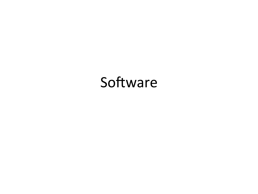#### Software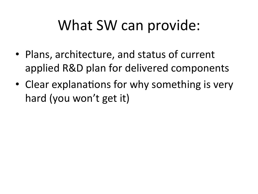## What SW can provide:

- Plans, architecture, and status of current applied R&D plan for delivered components
- Clear explanations for why something is very hard (you won't get it)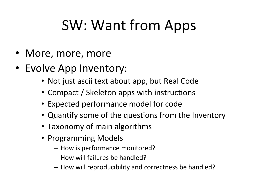# SW: Want from Apps

- More, more, more
- Evolve App Inventory:
	- Not just ascii text about app, but Real Code
	- Compact / Skeleton apps with instructions
	- Expected performance model for code
	- Quantify some of the questions from the Inventory
	- Taxonomy of main algorithms
	- Programming Models
		- How is performance monitored?
		- $-$  How will failures be handled?
		- $-$  How will reproducibility and correctness be handled?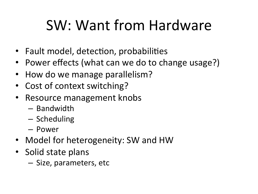# SW: Want from Hardware

- Fault model, detection, probabilities
- Power effects (what can we do to change usage?)
- How do we manage parallelism?
- Cost of context switching?
- Resource management knobs
	- $-$  Bandwidth
	- $-$  Scheduling
	- Power
- Model for heterogeneity: SW and HW
- Solid state plans
	- Size, parameters, etc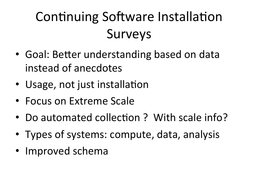### Continuing Software Installation **Surveys**

- Goal: Better understanding based on data instead of anecdotes
- Usage, not just installation
- Focus on Extreme Scale
- Do automated collection? With scale info?
- Types of systems: compute, data, analysis
- Improved schema